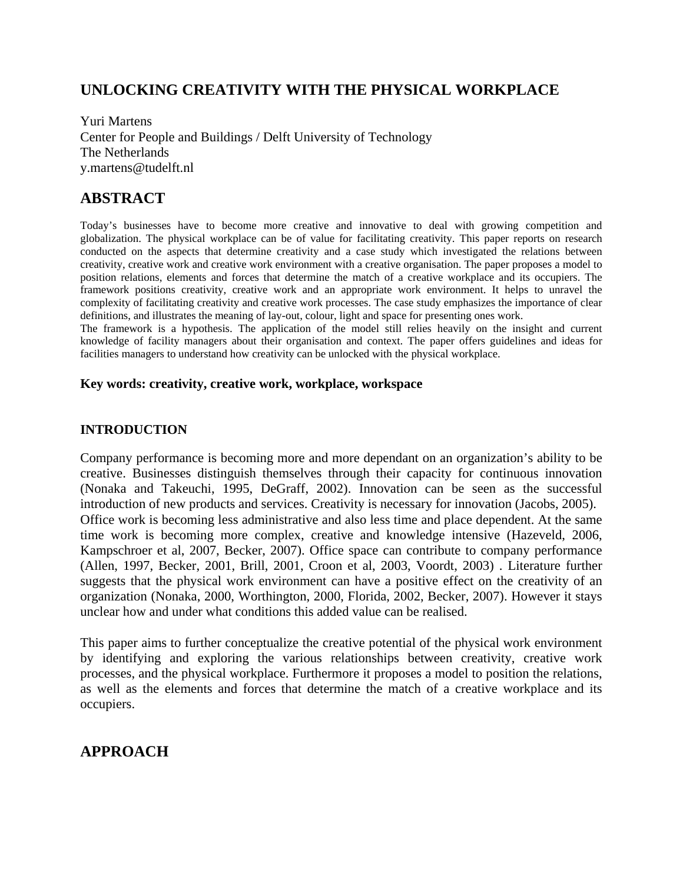## **UNLOCKING CREATIVITY WITH THE PHYSICAL WORKPLACE**

Yuri Martens Center for People and Buildings / Delft University of Technology The Netherlands y.martens@tudelft.nl

# **ABSTRACT**

Today's businesses have to become more creative and innovative to deal with growing competition and globalization. The physical workplace can be of value for facilitating creativity. This paper reports on research conducted on the aspects that determine creativity and a case study which investigated the relations between creativity, creative work and creative work environment with a creative organisation. The paper proposes a model to position relations, elements and forces that determine the match of a creative workplace and its occupiers. The framework positions creativity, creative work and an appropriate work environment. It helps to unravel the complexity of facilitating creativity and creative work processes. The case study emphasizes the importance of clear definitions, and illustrates the meaning of lay-out, colour, light and space for presenting ones work.

The framework is a hypothesis. The application of the model still relies heavily on the insight and current knowledge of facility managers about their organisation and context. The paper offers guidelines and ideas for facilities managers to understand how creativity can be unlocked with the physical workplace.

#### **Key words: creativity, creative work, workplace, workspace**

#### **INTRODUCTION**

Company performance is becoming more and more dependant on an organization's ability to be creative. Businesses distinguish themselves through their capacity for continuous innovation (Nonaka and Takeuchi, 1995, DeGraff, 2002). Innovation can be seen as the successful introduction of new products and services. Creativity is necessary for innovation (Jacobs, 2005). Office work is becoming less administrative and also less time and place dependent. At the same time work is becoming more complex, creative and knowledge intensive (Hazeveld, 2006, Kampschroer et al, 2007, Becker, 2007). Office space can contribute to company performance (Allen, 1997, Becker, 2001, Brill, 2001, Croon et al, 2003, Voordt, 2003) . Literature further suggests that the physical work environment can have a positive effect on the creativity of an organization (Nonaka, 2000, Worthington, 2000, Florida, 2002, Becker, 2007). However it stays unclear how and under what conditions this added value can be realised.

This paper aims to further conceptualize the creative potential of the physical work environment by identifying and exploring the various relationships between creativity, creative work processes, and the physical workplace. Furthermore it proposes a model to position the relations, as well as the elements and forces that determine the match of a creative workplace and its occupiers.

## **APPROACH**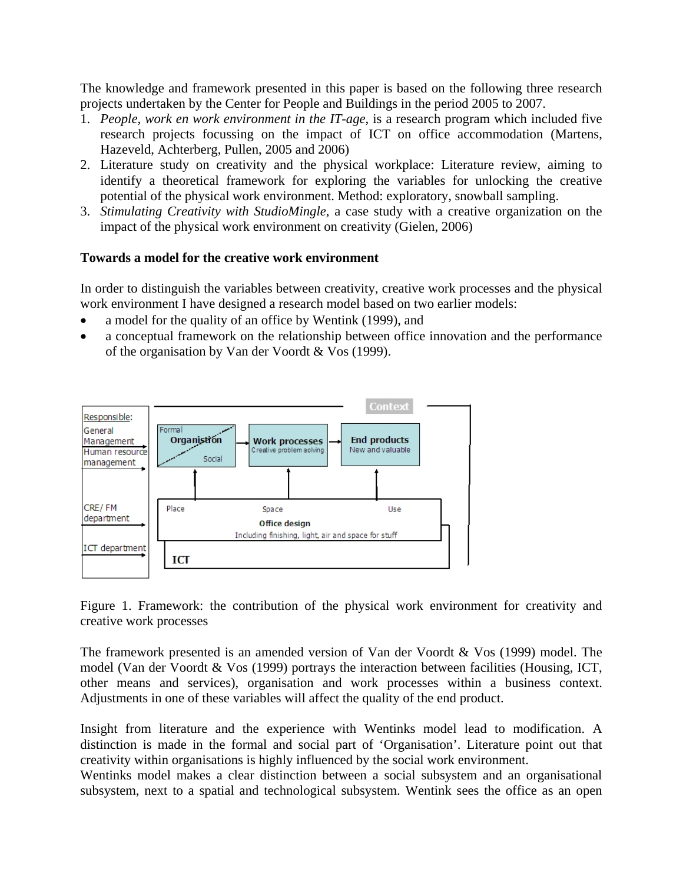The knowledge and framework presented in this paper is based on the following three research projects undertaken by the Center for People and Buildings in the period 2005 to 2007.

- 1. *People, work en work environment in the IT-age*, is a research program which included five research projects focussing on the impact of ICT on office accommodation (Martens, Hazeveld, Achterberg, Pullen, 2005 and 2006)
- 2. Literature study on creativity and the physical workplace: Literature review, aiming to identify a theoretical framework for exploring the variables for unlocking the creative potential of the physical work environment. Method: exploratory, snowball sampling.
- 3. *Stimulating Creativity with StudioMingle*, a case study with a creative organization on the impact of the physical work environment on creativity (Gielen, 2006)

#### **Towards a model for the creative work environment**

In order to distinguish the variables between creativity, creative work processes and the physical work environment I have designed a research model based on two earlier models:

- a model for the quality of an office by Wentink (1999), and
- a conceptual framework on the relationship between office innovation and the performance of the organisation by Van der Voordt & Vos (1999).



Figure 1. Framework: the contribution of the physical work environment for creativity and creative work processes

The framework presented is an amended version of Van der Voordt & Vos (1999) model. The model (Van der Voordt & Vos (1999) portrays the interaction between facilities (Housing, ICT, other means and services), organisation and work processes within a business context. Adjustments in one of these variables will affect the quality of the end product.

Insight from literature and the experience with Wentinks model lead to modification. A distinction is made in the formal and social part of 'Organisation'. Literature point out that creativity within organisations is highly influenced by the social work environment.

Wentinks model makes a clear distinction between a social subsystem and an organisational subsystem, next to a spatial and technological subsystem. Wentink sees the office as an open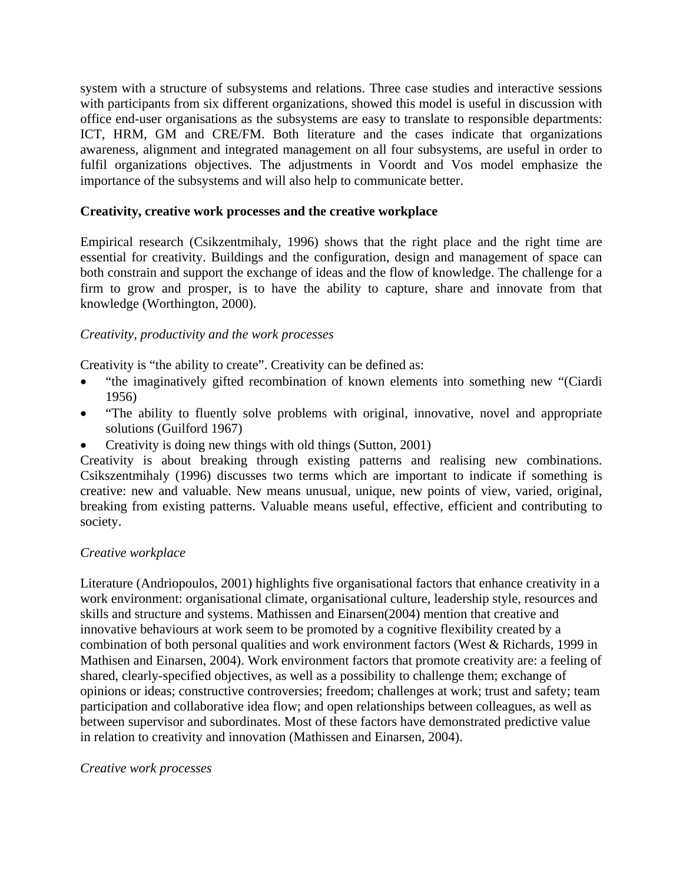system with a structure of subsystems and relations. Three case studies and interactive sessions with participants from six different organizations, showed this model is useful in discussion with office end-user organisations as the subsystems are easy to translate to responsible departments: ICT, HRM, GM and CRE/FM. Both literature and the cases indicate that organizations awareness, alignment and integrated management on all four subsystems, are useful in order to fulfil organizations objectives. The adjustments in Voordt and Vos model emphasize the importance of the subsystems and will also help to communicate better.

### **Creativity, creative work processes and the creative workplace**

Empirical research (Csikzentmihaly, 1996) shows that the right place and the right time are essential for creativity. Buildings and the configuration, design and management of space can both constrain and support the exchange of ideas and the flow of knowledge. The challenge for a firm to grow and prosper, is to have the ability to capture, share and innovate from that knowledge (Worthington, 2000).

#### *Creativity, productivity and the work processes*

Creativity is "the ability to create". Creativity can be defined as:

- "the imaginatively gifted recombination of known elements into something new "(Ciardi 1956)
- "The ability to fluently solve problems with original, innovative, novel and appropriate solutions (Guilford 1967)
- Creativity is doing new things with old things (Sutton, 2001)

Creativity is about breaking through existing patterns and realising new combinations. Csikszentmihaly (1996) discusses two terms which are important to indicate if something is creative: new and valuable. New means unusual, unique, new points of view, varied, original, breaking from existing patterns. Valuable means useful, effective, efficient and contributing to society.

#### *Creative workplace*

Literature (Andriopoulos, 2001) highlights five organisational factors that enhance creativity in a work environment: organisational climate, organisational culture, leadership style, resources and skills and structure and systems. Mathissen and Einarsen(2004) mention that creative and innovative behaviours at work seem to be promoted by a cognitive flexibility created by a combination of both personal qualities and work environment factors (West & Richards, 1999 in Mathisen and Einarsen, 2004). Work environment factors that promote creativity are: a feeling of shared, clearly-specified objectives, as well as a possibility to challenge them; exchange of opinions or ideas; constructive controversies; freedom; challenges at work; trust and safety; team participation and collaborative idea flow; and open relationships between colleagues, as well as between supervisor and subordinates. Most of these factors have demonstrated predictive value in relation to creativity and innovation (Mathissen and Einarsen, 2004).

#### *Creative work processes*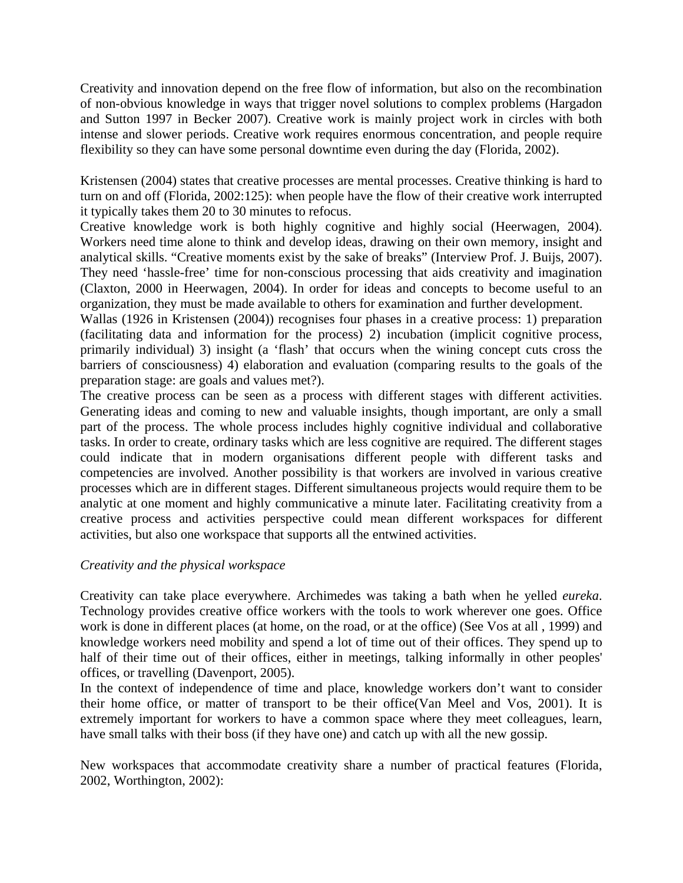Creativity and innovation depend on the free flow of information, but also on the recombination of non-obvious knowledge in ways that trigger novel solutions to complex problems (Hargadon and Sutton 1997 in Becker 2007). Creative work is mainly project work in circles with both intense and slower periods. Creative work requires enormous concentration, and people require flexibility so they can have some personal downtime even during the day (Florida, 2002).

Kristensen (2004) states that creative processes are mental processes. Creative thinking is hard to turn on and off (Florida, 2002:125): when people have the flow of their creative work interrupted it typically takes them 20 to 30 minutes to refocus.

Creative knowledge work is both highly cognitive and highly social (Heerwagen, 2004). Workers need time alone to think and develop ideas, drawing on their own memory, insight and analytical skills. "Creative moments exist by the sake of breaks" (Interview Prof. J. Buijs, 2007). They need 'hassle-free' time for non-conscious processing that aids creativity and imagination (Claxton, 2000 in Heerwagen, 2004). In order for ideas and concepts to become useful to an organization, they must be made available to others for examination and further development.

Wallas (1926 in Kristensen (2004)) recognises four phases in a creative process: 1) preparation (facilitating data and information for the process) 2) incubation (implicit cognitive process, primarily individual) 3) insight (a 'flash' that occurs when the wining concept cuts cross the barriers of consciousness) 4) elaboration and evaluation (comparing results to the goals of the preparation stage: are goals and values met?).

The creative process can be seen as a process with different stages with different activities. Generating ideas and coming to new and valuable insights, though important, are only a small part of the process. The whole process includes highly cognitive individual and collaborative tasks. In order to create, ordinary tasks which are less cognitive are required. The different stages could indicate that in modern organisations different people with different tasks and competencies are involved. Another possibility is that workers are involved in various creative processes which are in different stages. Different simultaneous projects would require them to be analytic at one moment and highly communicative a minute later. Facilitating creativity from a creative process and activities perspective could mean different workspaces for different activities, but also one workspace that supports all the entwined activities.

#### *Creativity and the physical workspace*

Creativity can take place everywhere. Archimedes was taking a bath when he yelled *eureka*. Technology provides creative office workers with the tools to work wherever one goes. Office work is done in different places (at home, on the road, or at the office) (See Vos at all , 1999) and knowledge workers need mobility and spend a lot of time out of their offices. They spend up to half of their time out of their offices, either in meetings, talking informally in other peoples' offices, or travelling (Davenport, 2005).

In the context of independence of time and place, knowledge workers don't want to consider their home office, or matter of transport to be their office(Van Meel and Vos, 2001). It is extremely important for workers to have a common space where they meet colleagues, learn, have small talks with their boss (if they have one) and catch up with all the new gossip.

New workspaces that accommodate creativity share a number of practical features (Florida, 2002, Worthington, 2002):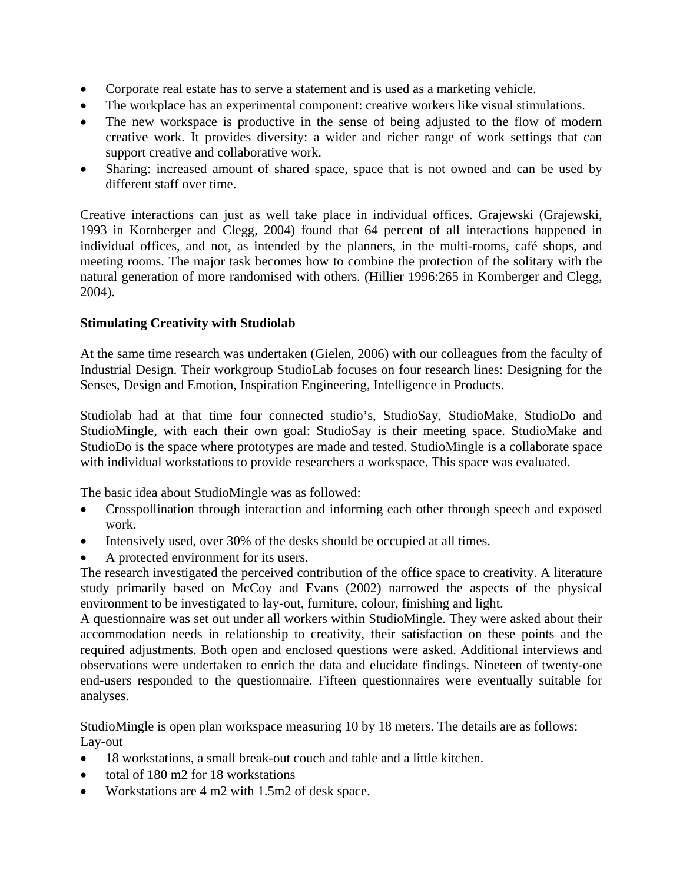- Corporate real estate has to serve a statement and is used as a marketing vehicle.
- The workplace has an experimental component: creative workers like visual stimulations.
- The new workspace is productive in the sense of being adjusted to the flow of modern creative work. It provides diversity: a wider and richer range of work settings that can support creative and collaborative work.
- Sharing: increased amount of shared space, space that is not owned and can be used by different staff over time.

Creative interactions can just as well take place in individual offices. Grajewski (Grajewski, 1993 in Kornberger and Clegg, 2004) found that 64 percent of all interactions happened in individual offices, and not, as intended by the planners, in the multi-rooms, café shops, and meeting rooms. The major task becomes how to combine the protection of the solitary with the natural generation of more randomised with others. (Hillier 1996:265 in Kornberger and Clegg, 2004).

## **Stimulating Creativity with Studiolab**

At the same time research was undertaken (Gielen, 2006) with our colleagues from the faculty of Industrial Design. Their workgroup StudioLab focuses on four research lines: Designing for the Senses, Design and Emotion, Inspiration Engineering, Intelligence in Products.

Studiolab had at that time four connected studio's, StudioSay, StudioMake, StudioDo and StudioMingle, with each their own goal: StudioSay is their meeting space. StudioMake and StudioDo is the space where prototypes are made and tested. StudioMingle is a collaborate space with individual workstations to provide researchers a workspace. This space was evaluated.

The basic idea about StudioMingle was as followed:

- Crosspollination through interaction and informing each other through speech and exposed work.
- Intensively used, over 30% of the desks should be occupied at all times.
- A protected environment for its users.

The research investigated the perceived contribution of the office space to creativity. A literature study primarily based on McCoy and Evans (2002) narrowed the aspects of the physical environment to be investigated to lay-out, furniture, colour, finishing and light.

A questionnaire was set out under all workers within StudioMingle. They were asked about their accommodation needs in relationship to creativity, their satisfaction on these points and the required adjustments. Both open and enclosed questions were asked. Additional interviews and observations were undertaken to enrich the data and elucidate findings. Nineteen of twenty-one end-users responded to the questionnaire. Fifteen questionnaires were eventually suitable for analyses.

StudioMingle is open plan workspace measuring 10 by 18 meters. The details are as follows: Lay-out

- 18 workstations, a small break-out couch and table and a little kitchen.
- total of 180 m2 for 18 workstations
- Workstations are 4 m2 with 1.5m2 of desk space.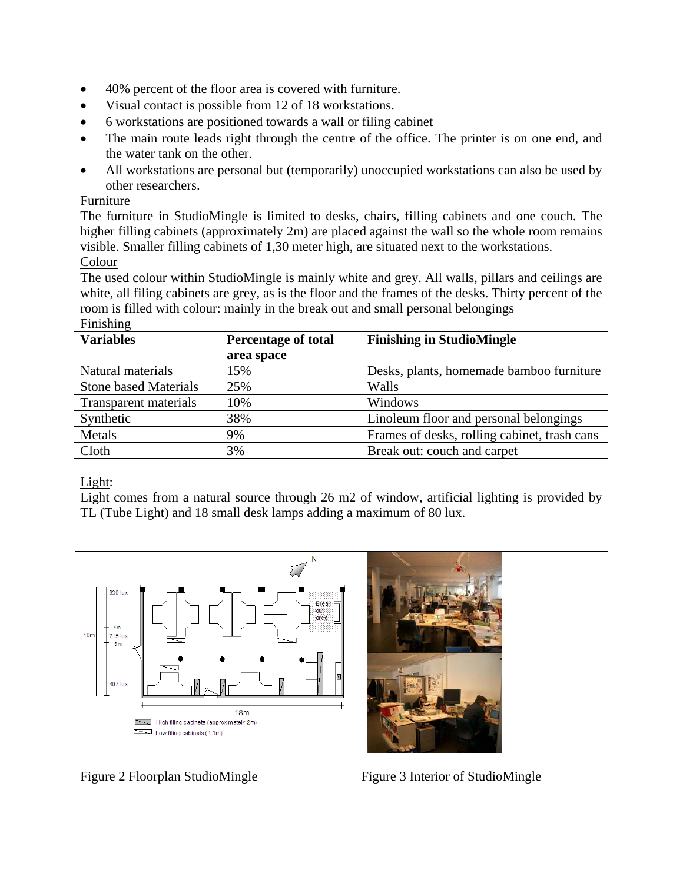- 40% percent of the floor area is covered with furniture.
- Visual contact is possible from 12 of 18 workstations.
- 6 workstations are positioned towards a wall or filing cabinet
- The main route leads right through the centre of the office. The printer is on one end, and the water tank on the other.
- All workstations are personal but (temporarily) unoccupied workstations can also be used by other researchers.

#### Furniture

The furniture in StudioMingle is limited to desks, chairs, filling cabinets and one couch. The higher filling cabinets (approximately 2m) are placed against the wall so the whole room remains visible. Smaller filling cabinets of 1,30 meter high, are situated next to the workstations.

#### Colour

The used colour within StudioMingle is mainly white and grey. All walls, pillars and ceilings are white, all filing cabinets are grey, as is the floor and the frames of the desks. Thirty percent of the room is filled with colour: mainly in the break out and small personal belongings

## Finishing

| <b>Variables</b>             | <b>Percentage of total</b> | <b>Finishing in StudioMingle</b>             |
|------------------------------|----------------------------|----------------------------------------------|
|                              | area space                 |                                              |
| Natural materials            | 15%                        | Desks, plants, homemade bamboo furniture     |
| <b>Stone based Materials</b> | 25%                        | Walls                                        |
| Transparent materials        | 10%                        | Windows                                      |
| Synthetic                    | 38%                        | Linoleum floor and personal belongings       |
| Metals                       | 9%                         | Frames of desks, rolling cabinet, trash cans |
| Cloth                        | 3%                         | Break out: couch and carpet                  |

## Light:

Light comes from a natural source through 26 m2 of window, artificial lighting is provided by TL (Tube Light) and 18 small desk lamps adding a maximum of 80 lux.



![](_page_5_Picture_15.jpeg)

Figure 2 Floorplan StudioMingleFigure 3 Interior of StudioMingle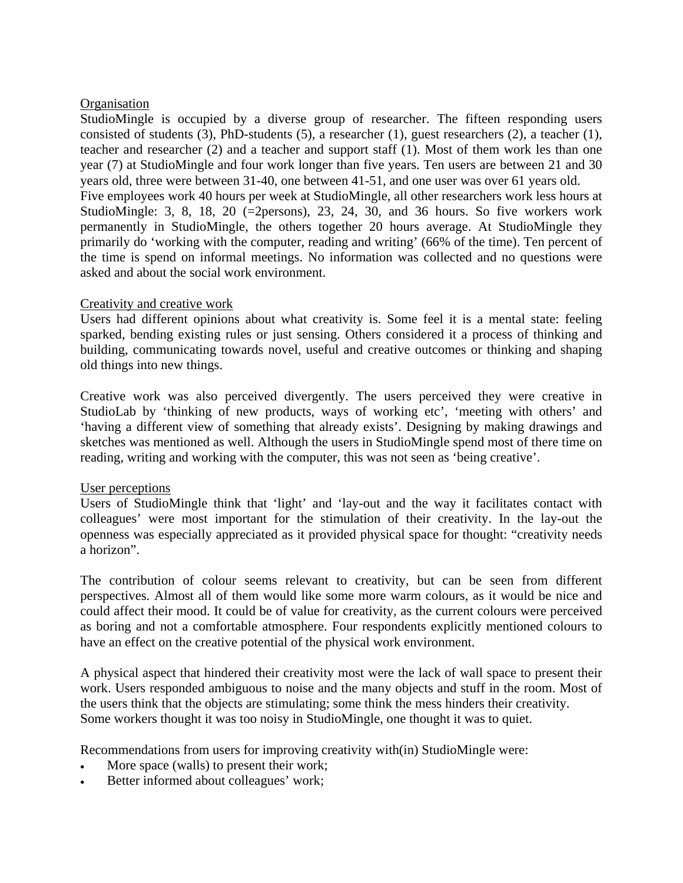#### **Organisation**

StudioMingle is occupied by a diverse group of researcher. The fifteen responding users consisted of students (3), PhD-students (5), a researcher (1), guest researchers (2), a teacher (1), teacher and researcher (2) and a teacher and support staff (1). Most of them work les than one year (7) at StudioMingle and four work longer than five years. Ten users are between 21 and 30 years old, three were between 31-40, one between 41-51, and one user was over 61 years old. Five employees work 40 hours per week at StudioMingle, all other researchers work less hours at StudioMingle: 3, 8, 18, 20  $(=\negthinspace 2 \text{ persons})$ , 23, 24, 30, and 36 hours. So five workers work permanently in StudioMingle, the others together 20 hours average. At StudioMingle they primarily do 'working with the computer, reading and writing' (66% of the time). Ten percent of the time is spend on informal meetings. No information was collected and no questions were asked and about the social work environment.

#### Creativity and creative work

Users had different opinions about what creativity is. Some feel it is a mental state: feeling sparked, bending existing rules or just sensing. Others considered it a process of thinking and building, communicating towards novel, useful and creative outcomes or thinking and shaping old things into new things.

Creative work was also perceived divergently. The users perceived they were creative in StudioLab by 'thinking of new products, ways of working etc', 'meeting with others' and 'having a different view of something that already exists'. Designing by making drawings and sketches was mentioned as well. Although the users in StudioMingle spend most of there time on reading, writing and working with the computer, this was not seen as 'being creative'.

## User perceptions

Users of StudioMingle think that 'light' and 'lay-out and the way it facilitates contact with colleagues' were most important for the stimulation of their creativity. In the lay-out the openness was especially appreciated as it provided physical space for thought: "creativity needs a horizon".

The contribution of colour seems relevant to creativity, but can be seen from different perspectives. Almost all of them would like some more warm colours, as it would be nice and could affect their mood. It could be of value for creativity, as the current colours were perceived as boring and not a comfortable atmosphere. Four respondents explicitly mentioned colours to have an effect on the creative potential of the physical work environment.

A physical aspect that hindered their creativity most were the lack of wall space to present their work. Users responded ambiguous to noise and the many objects and stuff in the room. Most of the users think that the objects are stimulating; some think the mess hinders their creativity. Some workers thought it was too noisy in StudioMingle, one thought it was to quiet.

Recommendations from users for improving creativity with(in) StudioMingle were:

- More space (walls) to present their work;
- Better informed about colleagues' work;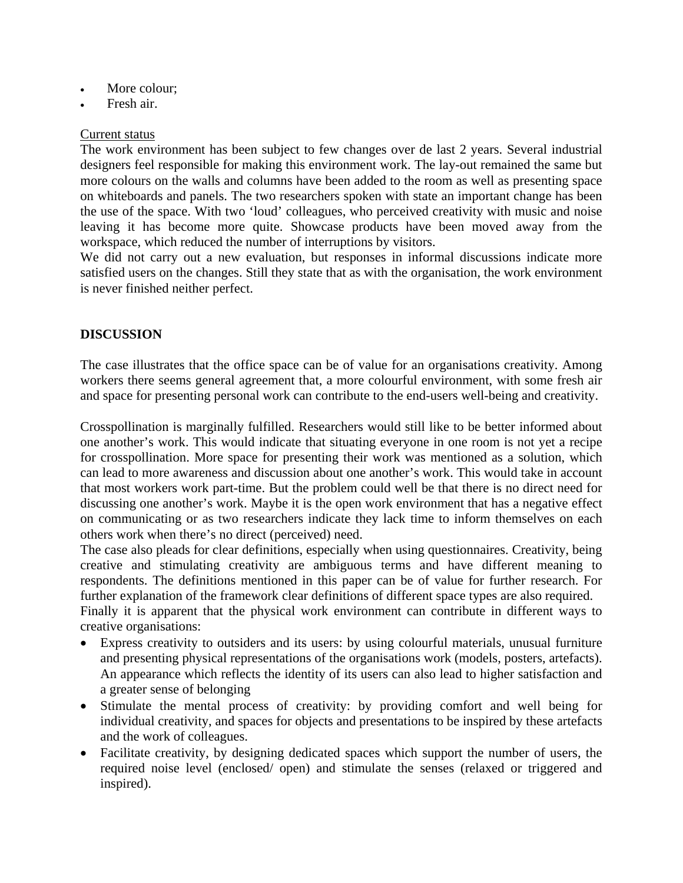- More colour:
- Fresh air.

#### Current status

The work environment has been subject to few changes over de last 2 years. Several industrial designers feel responsible for making this environment work. The lay-out remained the same but more colours on the walls and columns have been added to the room as well as presenting space on whiteboards and panels. The two researchers spoken with state an important change has been the use of the space. With two 'loud' colleagues, who perceived creativity with music and noise leaving it has become more quite. Showcase products have been moved away from the workspace, which reduced the number of interruptions by visitors.

We did not carry out a new evaluation, but responses in informal discussions indicate more satisfied users on the changes. Still they state that as with the organisation, the work environment is never finished neither perfect.

## **DISCUSSION**

The case illustrates that the office space can be of value for an organisations creativity. Among workers there seems general agreement that, a more colourful environment, with some fresh air and space for presenting personal work can contribute to the end-users well-being and creativity.

Crosspollination is marginally fulfilled. Researchers would still like to be better informed about one another's work. This would indicate that situating everyone in one room is not yet a recipe for crosspollination. More space for presenting their work was mentioned as a solution, which can lead to more awareness and discussion about one another's work. This would take in account that most workers work part-time. But the problem could well be that there is no direct need for discussing one another's work. Maybe it is the open work environment that has a negative effect on communicating or as two researchers indicate they lack time to inform themselves on each others work when there's no direct (perceived) need.

The case also pleads for clear definitions, especially when using questionnaires. Creativity, being creative and stimulating creativity are ambiguous terms and have different meaning to respondents. The definitions mentioned in this paper can be of value for further research. For further explanation of the framework clear definitions of different space types are also required.

Finally it is apparent that the physical work environment can contribute in different ways to creative organisations:

- Express creativity to outsiders and its users: by using colourful materials, unusual furniture and presenting physical representations of the organisations work (models, posters, artefacts). An appearance which reflects the identity of its users can also lead to higher satisfaction and a greater sense of belonging
- Stimulate the mental process of creativity: by providing comfort and well being for individual creativity, and spaces for objects and presentations to be inspired by these artefacts and the work of colleagues.
- Facilitate creativity, by designing dedicated spaces which support the number of users, the required noise level (enclosed/ open) and stimulate the senses (relaxed or triggered and inspired).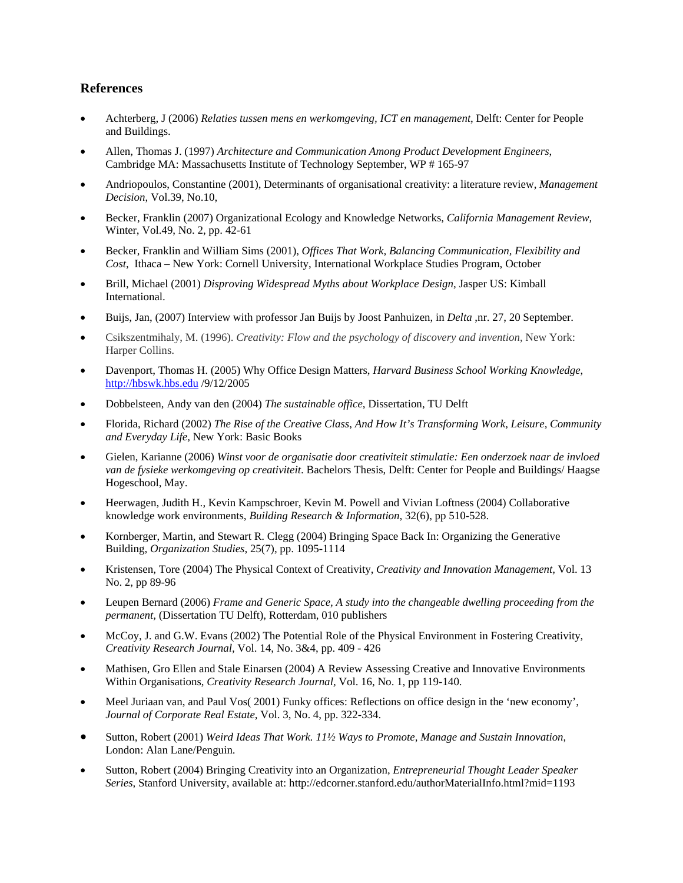#### **References**

- Achterberg, J (2006) *Relaties tussen mens en werkomgeving, ICT en management*, Delft: Center for People and Buildings.
- Allen, Thomas J. (1997) *Architecture and Communication Among Product Development Engineers*, Cambridge MA: Massachusetts Institute of Technology September, WP # 165-97
- Andriopoulos, Constantine (2001), Determinants of organisational creativity: a literature review, *Management Decision*, Vol.39, No.10,
- Becker, Franklin (2007) Organizational Ecology and Knowledge Networks, *California Management Review,*  Winter, Vol.49, No. 2, pp. 42-61
- Becker, Franklin and William Sims (2001), *Offices That Work, Balancing Communication, Flexibility and Cost*, Ithaca – New York: Cornell University, International Workplace Studies Program, October
- Brill, Michael (2001) *Disproving Widespread Myths about Workplace Design*, Jasper US: Kimball International.
- Buijs, Jan, (2007) Interview with professor Jan Buijs by Joost Panhuizen, in *Delta* ,nr. 27, 20 September.
- Csikszentmihaly, M. (1996). *Creativity: Flow and the psychology of discovery and invention*, New York: Harper Collins.
- Davenport, Thomas H. (2005) Why Office Design Matters, *Harvard Business School Working Knowledge*, http://hbswk.hbs.edu /9/12/2005
- Dobbelsteen, Andy van den (2004) *The sustainable office*, Dissertation, TU Delft
- Florida, Richard (2002) *The Rise of the Creative Class*, *And How It's Transforming Work, Leisure, Community and Everyday Life,* New York: Basic Books
- Gielen, Karianne (2006) *Winst voor de organisatie door creativiteit stimulatie: Een onderzoek naar de invloed van de fysieke werkomgeving op creativiteit*. Bachelors Thesis, Delft: Center for People and Buildings/ Haagse Hogeschool, May.
- Heerwagen, Judith H., Kevin Kampschroer, Kevin M. Powell and Vivian Loftness (2004) Collaborative knowledge work environments, *Building Research & Information,* 32(6), pp 510-528.
- Kornberger, Martin, and Stewart R. Clegg (2004) Bringing Space Back In: Organizing the Generative Building, *Organization Studies*, 25(7), pp. 1095-1114
- Kristensen, Tore (2004) The Physical Context of Creativity, *Creativity and Innovation Management,* Vol. 13 No. 2, pp 89-96
- Leupen Bernard (2006) *Frame and Generic Space, A study into the changeable dwelling proceeding from the permanent,* (Dissertation TU Delft), Rotterdam, 010 publishers
- McCoy, J. and G.W. Evans (2002) The Potential Role of the Physical Environment in Fostering Creativity, *Creativity Research Journal,* Vol. 14, No. 3&4, pp. 409 - 426
- Mathisen, Gro Ellen and Stale Einarsen (2004) A Review Assessing Creative and Innovative Environments Within Organisations, *Creativity Research Journal,* Vol. 16, No. 1, pp 119-140.
- Meel Juriaan van, and Paul Vos( 2001) Funky offices: Reflections on office design in the 'new economy', *Journal of Corporate Real Estate*, Vol. 3, No. 4, pp. 322-334.
- Sutton, Robert (2001) *Weird Ideas That Work. 11½ Ways to Promote, Manage and Sustain Innovation*, London: Alan Lane/Penguin.
- Sutton, Robert (2004) Bringing Creativity into an Organization, *Entrepreneurial Thought Leader Speaker Series*, Stanford University, available at: http://edcorner.stanford.edu/authorMaterialInfo.html?mid=1193